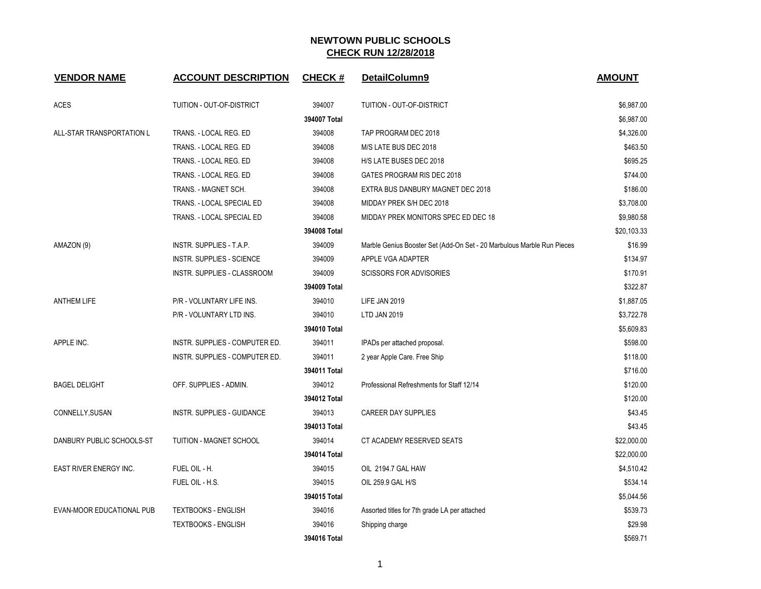| <b>VENDOR NAME</b>            | <b>ACCOUNT DESCRIPTION</b>       | <b>CHECK#</b> | DetailColumn9                                                          | <b>AMOUNT</b> |
|-------------------------------|----------------------------------|---------------|------------------------------------------------------------------------|---------------|
| ACES                          | TUITION - OUT-OF-DISTRICT        | 394007        | TUITION - OUT-OF-DISTRICT                                              | \$6,987.00    |
|                               |                                  | 394007 Total  |                                                                        | \$6,987.00    |
| ALL-STAR TRANSPORTATION L     | TRANS. - LOCAL REG. ED           | 394008        | TAP PROGRAM DEC 2018                                                   | \$4,326.00    |
|                               | TRANS. - LOCAL REG. ED           | 394008        | M/S LATE BUS DEC 2018                                                  | \$463.50      |
|                               | TRANS. - LOCAL REG. ED           | 394008        | H/S LATE BUSES DEC 2018                                                | \$695.25      |
|                               | TRANS. - LOCAL REG. ED           | 394008        | GATES PROGRAM RIS DEC 2018                                             | \$744.00      |
|                               | TRANS. - MAGNET SCH.             | 394008        | EXTRA BUS DANBURY MAGNET DEC 2018                                      | \$186.00      |
|                               | TRANS. - LOCAL SPECIAL ED        | 394008        | MIDDAY PREK S/H DEC 2018                                               | \$3,708.00    |
|                               | TRANS. - LOCAL SPECIAL ED        | 394008        | MIDDAY PREK MONITORS SPEC ED DEC 18                                    | \$9,980.58    |
|                               |                                  | 394008 Total  |                                                                        | \$20,103.33   |
| AMAZON (9)                    | INSTR. SUPPLIES - T.A.P.         | 394009        | Marble Genius Booster Set (Add-On Set - 20 Marbulous Marble Run Pieces | \$16.99       |
|                               | <b>INSTR. SUPPLIES - SCIENCE</b> | 394009        | APPLE VGA ADAPTER                                                      | \$134.97      |
|                               | INSTR. SUPPLIES - CLASSROOM      | 394009        | <b>SCISSORS FOR ADVISORIES</b>                                         | \$170.91      |
|                               |                                  | 394009 Total  |                                                                        | \$322.87      |
| <b>ANTHEM LIFE</b>            | P/R - VOLUNTARY LIFE INS.        | 394010        | LIFE JAN 2019                                                          | \$1,887.05    |
|                               | P/R - VOLUNTARY LTD INS.         | 394010        | LTD JAN 2019                                                           | \$3,722.78    |
|                               |                                  | 394010 Total  |                                                                        | \$5,609.83    |
| APPLE INC.                    | INSTR. SUPPLIES - COMPUTER ED.   | 394011        | IPADs per attached proposal.                                           | \$598.00      |
|                               | INSTR. SUPPLIES - COMPUTER ED.   | 394011        | 2 year Apple Care. Free Ship                                           | \$118.00      |
|                               |                                  | 394011 Total  |                                                                        | \$716.00      |
| <b>BAGEL DELIGHT</b>          | OFF. SUPPLIES - ADMIN.           | 394012        | Professional Refreshments for Staff 12/14                              | \$120.00      |
|                               |                                  | 394012 Total  |                                                                        | \$120.00      |
| CONNELLY, SUSAN               | INSTR. SUPPLIES - GUIDANCE       | 394013        | <b>CAREER DAY SUPPLIES</b>                                             | \$43.45       |
|                               |                                  | 394013 Total  |                                                                        | \$43.45       |
| DANBURY PUBLIC SCHOOLS-ST     | TUITION - MAGNET SCHOOL          | 394014        | CT ACADEMY RESERVED SEATS                                              | \$22,000.00   |
|                               |                                  | 394014 Total  |                                                                        | \$22,000.00   |
| <b>EAST RIVER ENERGY INC.</b> | FUEL OIL - H.                    | 394015        | OIL 2194.7 GAL HAW                                                     | \$4,510.42    |
|                               | FUEL OIL - H.S.                  | 394015        | OIL 259.9 GAL H/S                                                      | \$534.14      |
|                               |                                  | 394015 Total  |                                                                        | \$5,044.56    |
| EVAN-MOOR EDUCATIONAL PUB     | <b>TEXTBOOKS - ENGLISH</b>       | 394016        | Assorted titles for 7th grade LA per attached                          | \$539.73      |
|                               | <b>TEXTBOOKS - ENGLISH</b>       | 394016        | Shipping charge                                                        | \$29.98       |
|                               |                                  | 394016 Total  |                                                                        | \$569.71      |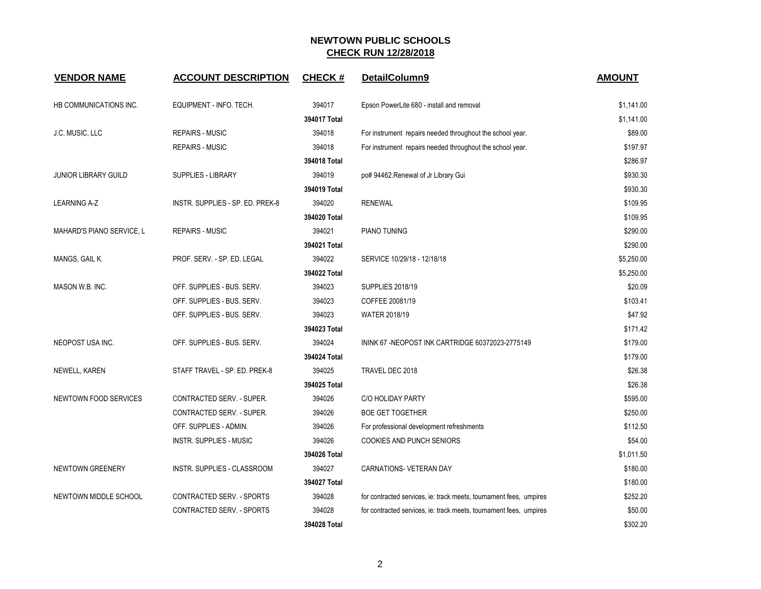| <b>VENDOR NAME</b>           | <b>ACCOUNT DESCRIPTION</b>       | <b>CHECK#</b> | DetailColumn9                                                      | <b>AMOUNT</b> |
|------------------------------|----------------------------------|---------------|--------------------------------------------------------------------|---------------|
| HB COMMUNICATIONS INC.       | EQUIPMENT - INFO. TECH.          | 394017        | Epson PowerLite 680 - install and removal                          | \$1,141.00    |
|                              |                                  | 394017 Total  |                                                                    | \$1,141.00    |
| J.C. MUSIC, LLC              | <b>REPAIRS - MUSIC</b>           | 394018        | For instrument repairs needed throughout the school year.          | \$89.00       |
|                              | <b>REPAIRS - MUSIC</b>           | 394018        | For instrument repairs needed throughout the school year.          | \$197.97      |
|                              |                                  | 394018 Total  |                                                                    | \$286.97      |
| <b>JUNIOR LIBRARY GUILD</b>  | SUPPLIES - LIBRARY               | 394019        | po# 94462.Renewal of Jr Library Gui                                | \$930.30      |
|                              |                                  | 394019 Total  |                                                                    | \$930.30      |
| <b>LEARNING A-Z</b>          | INSTR. SUPPLIES - SP. ED. PREK-8 | 394020        | <b>RENEWAL</b>                                                     | \$109.95      |
|                              |                                  | 394020 Total  |                                                                    | \$109.95      |
| MAHARD'S PIANO SERVICE, L    | <b>REPAIRS - MUSIC</b>           | 394021        | PIANO TUNING                                                       | \$290.00      |
|                              |                                  | 394021 Total  |                                                                    | \$290.00      |
| MANGS, GAIL K.               | PROF. SERV. - SP. ED. LEGAL      | 394022        | SERVICE 10/29/18 - 12/18/18                                        | \$5,250.00    |
|                              |                                  | 394022 Total  |                                                                    | \$5,250.00    |
| MASON W.B. INC.              | OFF. SUPPLIES - BUS. SERV.       | 394023        | <b>SUPPLIES 2018/19</b>                                            | \$20.09       |
|                              | OFF. SUPPLIES - BUS. SERV.       | 394023        | COFFEE 20081/19                                                    | \$103.41      |
|                              | OFF. SUPPLIES - BUS. SERV.       | 394023        | WATER 2018/19                                                      | \$47.92       |
|                              |                                  | 394023 Total  |                                                                    | \$171.42      |
| NEOPOST USA INC.             | OFF. SUPPLIES - BUS. SERV.       | 394024        | ININK 67-NEOPOST INK CARTRIDGE 60372023-2775149                    | \$179.00      |
|                              |                                  | 394024 Total  |                                                                    | \$179.00      |
| NEWELL, KAREN                | STAFF TRAVEL - SP. ED. PREK-8    | 394025        | TRAVEL DEC 2018                                                    | \$26.38       |
|                              |                                  | 394025 Total  |                                                                    | \$26.38       |
| <b>NEWTOWN FOOD SERVICES</b> | CONTRACTED SERV. - SUPER.        | 394026        | C/O HOLIDAY PARTY                                                  | \$595.00      |
|                              | CONTRACTED SERV. - SUPER.        | 394026        | <b>BOE GET TOGETHER</b>                                            | \$250.00      |
|                              | OFF. SUPPLIES - ADMIN.           | 394026        | For professional development refreshments                          | \$112.50      |
|                              | <b>INSTR. SUPPLIES - MUSIC</b>   | 394026        | <b>COOKIES AND PUNCH SENIORS</b>                                   | \$54.00       |
|                              |                                  | 394026 Total  |                                                                    | \$1,011.50    |
| NEWTOWN GREENERY             | INSTR. SUPPLIES - CLASSROOM      | 394027        | <b>CARNATIONS- VETERAN DAY</b>                                     | \$180.00      |
|                              |                                  | 394027 Total  |                                                                    | \$180.00      |
| NEWTOWN MIDDLE SCHOOL        | CONTRACTED SERV. - SPORTS        | 394028        | for contracted services, ie: track meets, tournament fees, umpires | \$252.20      |
|                              | CONTRACTED SERV. - SPORTS        | 394028        | for contracted services, ie: track meets, tournament fees, umpires | \$50.00       |
|                              |                                  | 394028 Total  |                                                                    | \$302.20      |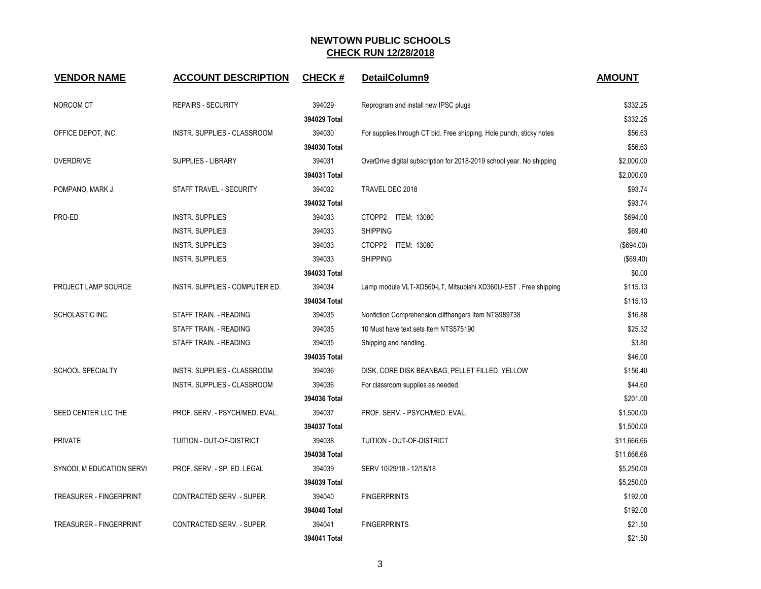| <b>VENDOR NAME</b>             | <b>ACCOUNT DESCRIPTION</b>         | <b>CHECK#</b> | DetailColumn9                                                         | <b>AMOUNT</b> |
|--------------------------------|------------------------------------|---------------|-----------------------------------------------------------------------|---------------|
| NORCOM CT                      | <b>REPAIRS - SECURITY</b>          | 394029        | Reprogram and install new IPSC plugs                                  | \$332.25      |
|                                |                                    | 394029 Total  |                                                                       | \$332.25      |
| OFFICE DEPOT, INC.             | INSTR. SUPPLIES - CLASSROOM        | 394030        | For supplies through CT bid. Free shipping. Hole punch, sticky notes  | \$56.63       |
|                                |                                    | 394030 Total  |                                                                       | \$56.63       |
| <b>OVERDRIVE</b>               | SUPPLIES - LIBRARY                 | 394031        | OverDrive digital subscription for 2018-2019 school year. No shipping | \$2,000.00    |
|                                |                                    | 394031 Total  |                                                                       | \$2,000.00    |
| POMPANO, MARK J.               | STAFF TRAVEL - SECURITY            | 394032        | TRAVEL DEC 2018                                                       | \$93.74       |
|                                |                                    | 394032 Total  |                                                                       | \$93.74       |
| PRO-ED                         | <b>INSTR. SUPPLIES</b>             | 394033        | CTOPP2 ITEM: 13080                                                    | \$694.00      |
|                                | <b>INSTR. SUPPLIES</b>             | 394033        | <b>SHIPPING</b>                                                       | \$69.40       |
|                                | <b>INSTR. SUPPLIES</b>             | 394033        | CTOPP2 ITEM: 13080                                                    | (\$694.00)    |
|                                | <b>INSTR. SUPPLIES</b>             | 394033        | <b>SHIPPING</b>                                                       | (\$69.40)     |
|                                |                                    | 394033 Total  |                                                                       | \$0.00        |
| PROJECT LAMP SOURCE            | INSTR. SUPPLIES - COMPUTER ED.     | 394034        | Lamp module VLT-XD560-LT, Mitsubishi XD360U-EST. Free shipping        | \$115.13      |
|                                |                                    | 394034 Total  |                                                                       | \$115.13      |
| SCHOLASTIC INC.                | STAFF TRAIN. - READING             | 394035        | Nonfiction Comprehension cliffhangers Item NTS989738                  | \$16.88       |
|                                | STAFF TRAIN. - READING             | 394035        | 10 Must have text sets Item NTS575190                                 | \$25.32       |
|                                | STAFF TRAIN. - READING             | 394035        | Shipping and handling.                                                | \$3.80        |
|                                |                                    | 394035 Total  |                                                                       | \$46.00       |
| <b>SCHOOL SPECIALTY</b>        | INSTR. SUPPLIES - CLASSROOM        | 394036        | DISK, CORE DISK BEANBAG, PELLET FILLED, YELLOW                        | \$156.40      |
|                                | <b>INSTR. SUPPLIES - CLASSROOM</b> | 394036        | For classroom supplies as needed.                                     | \$44.60       |
|                                |                                    | 394036 Total  |                                                                       | \$201.00      |
| SEED CENTER LLC THE            | PROF. SERV. - PSYCH/MED. EVAL.     | 394037        | PROF. SERV. - PSYCH/MED. EVAL.                                        | \$1,500.00    |
|                                |                                    | 394037 Total  |                                                                       | \$1,500.00    |
| <b>PRIVATE</b>                 | TUITION - OUT-OF-DISTRICT          | 394038        | TUITION - OUT-OF-DISTRICT                                             | \$11,666.66   |
|                                |                                    | 394038 Total  |                                                                       | \$11,666.66   |
| SYNODI, M EDUCATION SERVI      | PROF. SERV. - SP. ED. LEGAL        | 394039        | SERV 10/29/18 - 12/18/18                                              | \$5,250.00    |
|                                |                                    | 394039 Total  |                                                                       | \$5,250.00    |
| <b>TREASURER - FINGERPRINT</b> | CONTRACTED SERV. - SUPER.          | 394040        | <b>FINGERPRINTS</b>                                                   | \$192.00      |
|                                |                                    | 394040 Total  |                                                                       | \$192.00      |
| <b>TREASURER - FINGERPRINT</b> | CONTRACTED SERV. - SUPER.          | 394041        | <b>FINGERPRINTS</b>                                                   | \$21.50       |
|                                |                                    | 394041 Total  |                                                                       | \$21.50       |